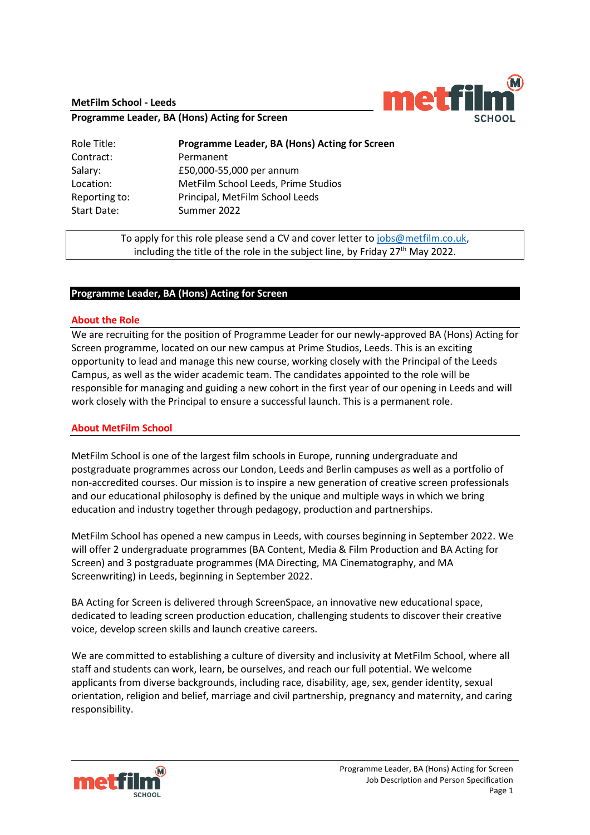#### **MetFilm School - Leeds**



**Programme Leader, BA (Hons) Acting for Screen**

| Role Title:   | Programme Leader, BA (Hons) Acting for Screen |
|---------------|-----------------------------------------------|
| Contract:     | Permanent                                     |
| Salary:       | £50,000-55,000 per annum                      |
| Location:     | MetFilm School Leeds, Prime Studios           |
| Reporting to: | Principal, MetFilm School Leeds               |
| Start Date:   | Summer 2022                                   |

To apply for this role please send a CV and cover letter to [jobs@metfilm.co.uk,](mailto:jobs@metfilm.co.uk) including the title of the role in the subject line, by Friday 27<sup>th</sup> May 2022.

# **Programme Leader, BA (Hons) Acting for Screen**

#### **About the Role**

We are recruiting for the position of Programme Leader for our newly-approved BA (Hons) Acting for Screen programme, located on our new campus at Prime Studios, Leeds. This is an exciting opportunity to lead and manage this new course, working closely with the Principal of the Leeds Campus, as well as the wider academic team. The candidates appointed to the role will be responsible for managing and guiding a new cohort in the first year of our opening in Leeds and will work closely with the Principal to ensure a successful launch. This is a permanent role.

#### **About MetFilm School**

MetFilm School is one of the largest film schools in Europe, running undergraduate and postgraduate programmes across our London, Leeds and Berlin campuses as well as a portfolio of non-accredited courses. Our mission is to inspire a new generation of creative screen professionals and our educational philosophy is defined by the unique and multiple ways in which we bring education and industry together through pedagogy, production and partnerships.

MetFilm School has opened a new campus in Leeds, with courses beginning in September 2022. We will offer 2 undergraduate programmes (BA Content, Media & Film Production and BA Acting for Screen) and 3 postgraduate programmes (MA Directing, MA Cinematography, and MA Screenwriting) in Leeds, beginning in September 2022.

BA Acting for Screen is delivered through ScreenSpace, an innovative new educational space, dedicated to leading screen production education, challenging students to discover their creative voice, develop screen skills and launch creative careers.

We are committed to establishing a culture of diversity and inclusivity at MetFilm School, where all staff and students can work, learn, be ourselves, and reach our full potential. We welcome applicants from diverse backgrounds, including race, disability, age, sex, gender identity, sexual orientation, religion and belief, marriage and civil partnership, pregnancy and maternity, and caring responsibility.

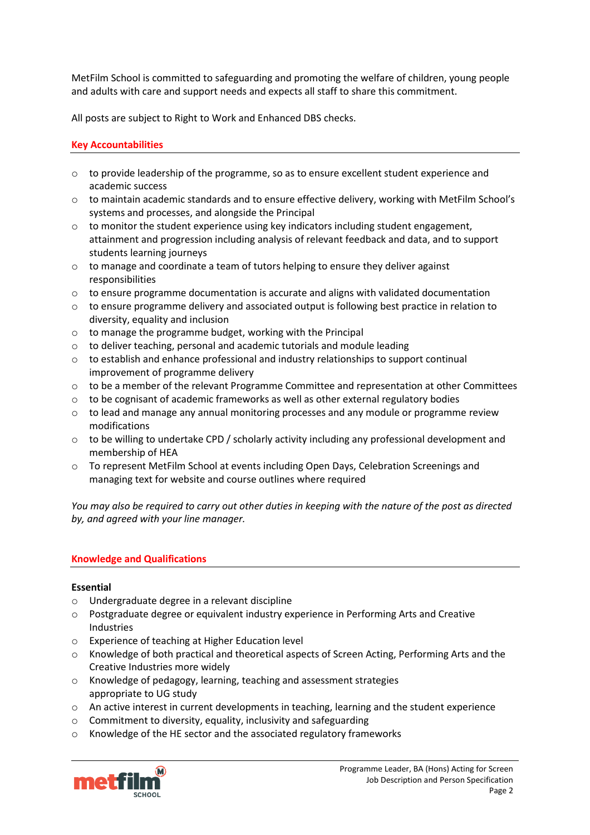MetFilm School is committed to safeguarding and promoting the welfare of children, young people and adults with care and support needs and expects all staff to share this commitment.

All posts are subject to Right to Work and Enhanced DBS checks.

# **Key Accountabilities**

- o to provide leadership of the programme, so as to ensure excellent student experience and academic success
- o to maintain academic standards and to ensure effective delivery, working with MetFilm School's systems and processes, and alongside the Principal
- $\circ$  to monitor the student experience using key indicators including student engagement, attainment and progression including analysis of relevant feedback and data, and to support students learning journeys
- $\circ$  to manage and coordinate a team of tutors helping to ensure they deliver against responsibilities
- o to ensure programme documentation is accurate and aligns with validated documentation
- o to ensure programme delivery and associated output is following best practice in relation to diversity, equality and inclusion
- o to manage the programme budget, working with the Principal
- o to deliver teaching, personal and academic tutorials and module leading
- $\circ$  to establish and enhance professional and industry relationships to support continual improvement of programme delivery
- $\circ$  to be a member of the relevant Programme Committee and representation at other Committees
- $\circ$  to be cognisant of academic frameworks as well as other external regulatory bodies
- $\circ$  to lead and manage any annual monitoring processes and any module or programme review modifications
- $\circ$  to be willing to undertake CPD / scholarly activity including any professional development and membership of HEA
- o To represent MetFilm School at events including Open Days, Celebration Screenings and managing text for website and course outlines where required

*You may also be required to carry out other duties in keeping with the nature of the post as directed by, and agreed with your line manager.* 

## **Knowledge and Qualifications**

## **Essential**

- o Undergraduate degree in a relevant discipline
- $\circ$  Postgraduate degree or equivalent industry experience in Performing Arts and Creative Industries
- o Experience of teaching at Higher Education level
- o Knowledge of both practical and theoretical aspects of Screen Acting, Performing Arts and the Creative Industries more widely
- o Knowledge of pedagogy, learning, teaching and assessment strategies appropriate to UG study
- o An active interest in current developments in teaching, learning and the student experience
- o Commitment to diversity, equality, inclusivity and safeguarding
- o Knowledge of the HE sector and the associated regulatory frameworks